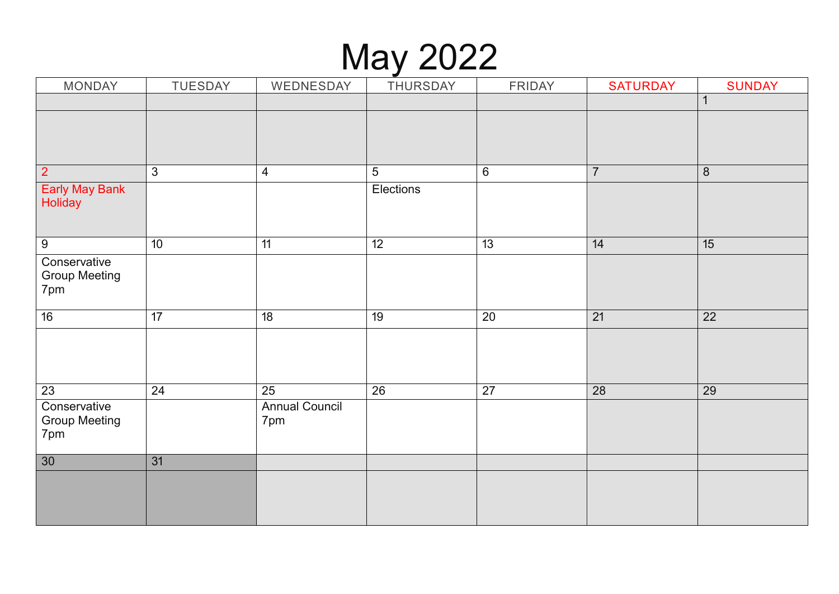### May 2022

| <b>MONDAY</b>                               | TUESDAY        | WEDNESDAY                    | THURSDAY        | FRIDAY  | <b>SATURDAY</b> | <b>SUNDAY</b> |
|---------------------------------------------|----------------|------------------------------|-----------------|---------|-----------------|---------------|
|                                             |                |                              |                 |         |                 | 1             |
|                                             |                |                              |                 |         |                 |               |
| $\overline{2}$                              | $\mathfrak{Z}$ | $\overline{4}$               | $5\phantom{.0}$ | $\,6\,$ | $\overline{7}$  | $\,8\,$       |
| <b>Early May Bank</b><br>Holiday            |                |                              | Elections       |         |                 |               |
| $9\,$                                       | 10             | 11                           | $\overline{12}$ | 13      | 14              | 15            |
| Conservative<br><b>Group Meeting</b><br>7pm |                |                              |                 |         |                 |               |
| 16                                          | 17             | 18                           | 19              | 20      | 21              | 22            |
|                                             |                |                              |                 |         |                 |               |
| 23                                          | 24             | 25                           | 26              | 27      | 28              | 29            |
| Conservative<br><b>Group Meeting</b><br>7pm |                | <b>Annual Council</b><br>7pm |                 |         |                 |               |
| 30                                          | 31             |                              |                 |         |                 |               |
|                                             |                |                              |                 |         |                 |               |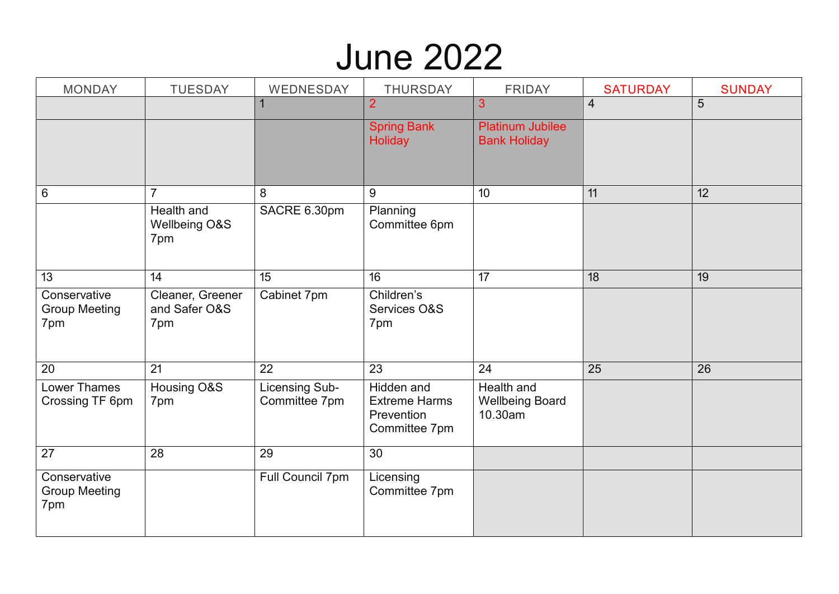## June 2022

| <b>MONDAY</b>                               | <b>TUESDAY</b>                           | WEDNESDAY                       | <b>THURSDAY</b>                                                   | <b>FRIDAY</b>                                   | <b>SATURDAY</b> | <b>SUNDAY</b> |
|---------------------------------------------|------------------------------------------|---------------------------------|-------------------------------------------------------------------|-------------------------------------------------|-----------------|---------------|
|                                             |                                          |                                 | $\overline{2}$                                                    | 3                                               | $\overline{4}$  | 5             |
|                                             |                                          |                                 | <b>Spring Bank</b><br><b>Holiday</b>                              | <b>Platinum Jubilee</b><br><b>Bank Holiday</b>  |                 |               |
| $\,6\,$                                     | $\overline{7}$                           | 8                               | 9                                                                 | 10                                              | 11              | 12            |
|                                             | Health and<br>Wellbeing O&S<br>7pm       | SACRE 6.30pm                    | Planning<br>Committee 6pm                                         |                                                 |                 |               |
| 13                                          | 14                                       | 15                              | 16 <sup>°</sup>                                                   | 17                                              | 18              | 19            |
| Conservative<br><b>Group Meeting</b><br>7pm | Cleaner, Greener<br>and Safer O&S<br>7pm | Cabinet 7pm                     | Children's<br>Services O&S<br>7pm                                 |                                                 |                 |               |
| 20                                          | 21                                       | 22                              | 23                                                                | 24                                              | 25              | 26            |
| Lower Thames<br>Crossing TF 6pm             | Housing O&S<br>7pm                       | Licensing Sub-<br>Committee 7pm | Hidden and<br><b>Extreme Harms</b><br>Prevention<br>Committee 7pm | Health and<br><b>Wellbeing Board</b><br>10.30am |                 |               |
| 27                                          | 28                                       | 29                              | 30                                                                |                                                 |                 |               |
| Conservative<br><b>Group Meeting</b><br>7pm |                                          | Full Council 7pm                | Licensing<br>Committee 7pm                                        |                                                 |                 |               |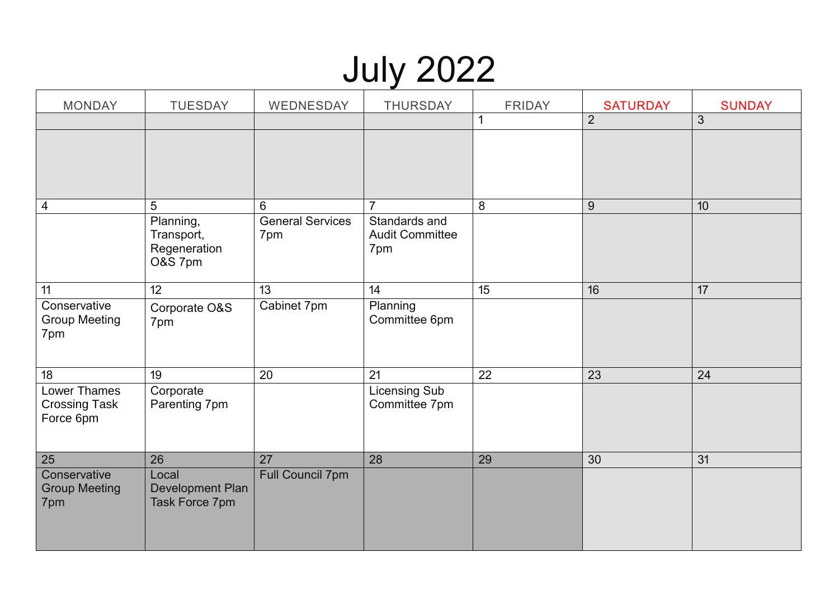# July 2022

| <b>MONDAY</b>                                     | <b>TUESDAY</b>                                     | WEDNESDAY                      | <b>THURSDAY</b>                                | <b>FRIDAY</b>   | <b>SATURDAY</b> | <b>SUNDAY</b>   |
|---------------------------------------------------|----------------------------------------------------|--------------------------------|------------------------------------------------|-----------------|-----------------|-----------------|
|                                                   |                                                    |                                |                                                | $\mathbf{1}$    | $\overline{2}$  | 3               |
|                                                   |                                                    |                                |                                                |                 |                 |                 |
| 4                                                 | 5                                                  | 6                              | $\overline{7}$                                 | 8               | 9               | 10 <sup>1</sup> |
|                                                   | Planning,<br>Transport,<br>Regeneration<br>O&S 7pm | <b>General Services</b><br>7pm | Standards and<br><b>Audit Committee</b><br>7pm |                 |                 |                 |
| 11                                                | 12                                                 | 13                             | 14                                             | $\overline{15}$ | 16              | 17              |
| Conservative<br><b>Group Meeting</b><br>7pm       | Corporate O&S<br>7pm                               | Cabinet 7pm                    | Planning<br>Committee 6pm                      |                 |                 |                 |
| 18                                                | 19                                                 | 20                             | 21                                             | 22              | 23              | 24              |
| Lower Thames<br><b>Crossing Task</b><br>Force 6pm | Corporate<br>Parenting 7pm                         |                                | <b>Licensing Sub</b><br>Committee 7pm          |                 |                 |                 |
| 25                                                | 26                                                 | 27                             | 28                                             | 29              | 30              | 31              |
| Conservative<br><b>Group Meeting</b><br>7pm       | Local<br>Development Plan<br>Task Force 7pm        | <b>Full Council 7pm</b>        |                                                |                 |                 |                 |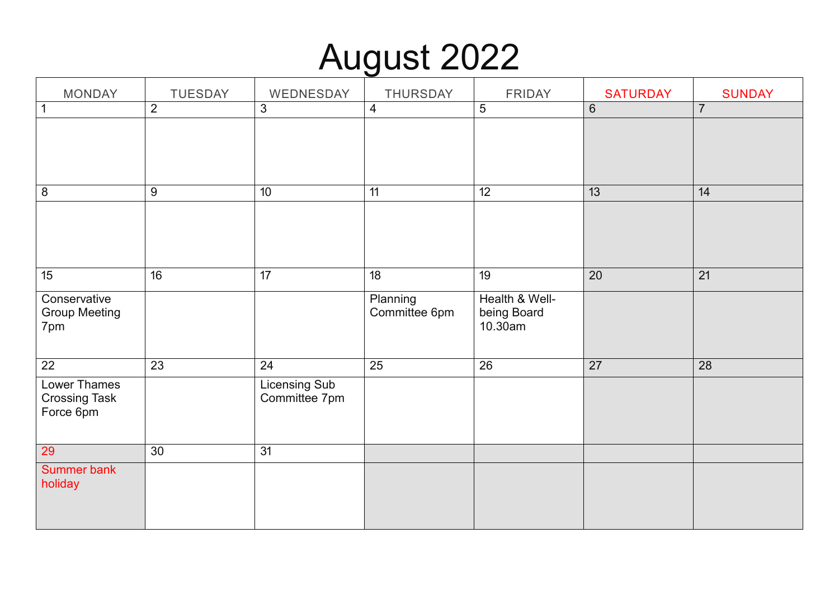# August 2022

| <b>MONDAY</b>                                     | <b>TUESDAY</b>   | WEDNESDAY                      | THURSDAY                  | <b>FRIDAY</b>                            | <b>SATURDAY</b> | <b>SUNDAY</b>   |
|---------------------------------------------------|------------------|--------------------------------|---------------------------|------------------------------------------|-----------------|-----------------|
| $\vert$ 1                                         | $\overline{2}$   | $\mathfrak{S}$                 | $\overline{4}$            | $\sqrt{5}$                               | $\,6\,$         | $\overline{7}$  |
|                                                   |                  |                                |                           |                                          |                 |                 |
| $\delta$                                          | $\boldsymbol{9}$ | 10                             | 11                        | $\overline{12}$                          | 13              | 14              |
|                                                   |                  |                                |                           |                                          |                 |                 |
| 15                                                | $\overline{16}$  | $\overline{17}$                | $\overline{18}$           | 19                                       | 20              | $\overline{21}$ |
| Conservative<br><b>Group Meeting</b><br>7pm       |                  |                                | Planning<br>Committee 6pm | Health & Well-<br>being Board<br>10.30am |                 |                 |
| $\overline{22}$                                   | 23               | 24                             | 25                        | $\overline{26}$                          | $\overline{27}$ | 28              |
| Lower Thames<br><b>Crossing Task</b><br>Force 6pm |                  | Licensing Sub<br>Committee 7pm |                           |                                          |                 |                 |
| 29                                                | 30               | 31                             |                           |                                          |                 |                 |
| Summer bank<br>holiday                            |                  |                                |                           |                                          |                 |                 |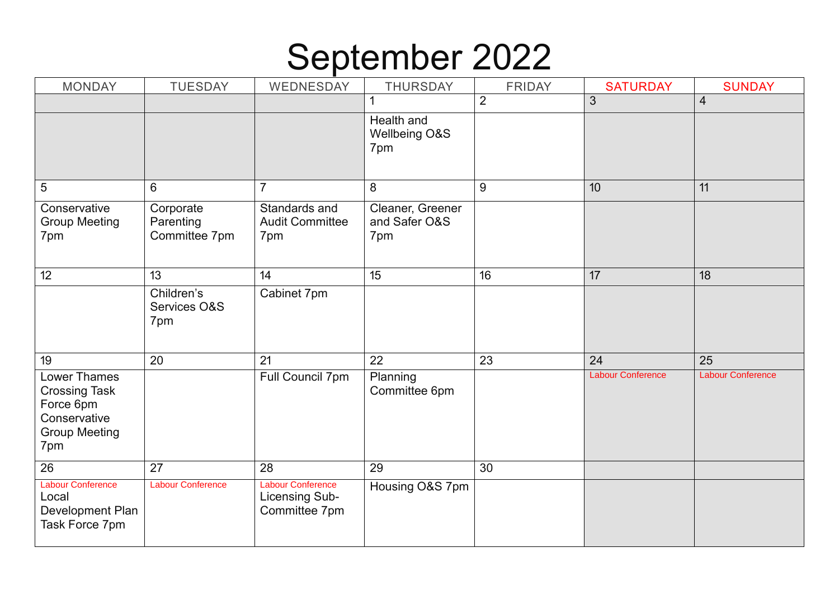#### September 2022

| <b>MONDAY</b>                                                                                           | <b>TUESDAY</b>                          | WEDNESDAY                                                   | <b>THURSDAY</b>                          | <b>FRIDAY</b>  | <b>SATURDAY</b>          | <b>SUNDAY</b>            |
|---------------------------------------------------------------------------------------------------------|-----------------------------------------|-------------------------------------------------------------|------------------------------------------|----------------|--------------------------|--------------------------|
|                                                                                                         |                                         |                                                             |                                          | $\overline{2}$ | 3                        | $\overline{4}$           |
|                                                                                                         |                                         |                                                             | Health and<br>Wellbeing O&S<br>7pm       |                |                          |                          |
| $5\phantom{.0}$                                                                                         | 6                                       | $\overline{7}$                                              | 8                                        | 9              | 10                       | 11                       |
| Conservative<br><b>Group Meeting</b><br>7pm                                                             | Corporate<br>Parenting<br>Committee 7pm | Standards and<br><b>Audit Committee</b><br>7pm              | Cleaner, Greener<br>and Safer O&S<br>7pm |                |                          |                          |
| 12                                                                                                      | 13                                      | 14                                                          | 15                                       | 16             | 17                       | 18                       |
|                                                                                                         | Children's<br>Services O&S<br>7pm       | Cabinet 7pm                                                 |                                          |                |                          |                          |
| 19                                                                                                      | 20                                      | 21                                                          | 22                                       | 23             | 24                       | 25                       |
| <b>Lower Thames</b><br><b>Crossing Task</b><br>Force 6pm<br>Conservative<br><b>Group Meeting</b><br>7pm |                                         | Full Council 7pm                                            | Planning<br>Committee 6pm                |                | <b>Labour Conference</b> | <b>Labour Conference</b> |
| 26                                                                                                      | 27                                      | 28                                                          | 29                                       | 30             |                          |                          |
| <b>Labour Conference</b><br>Local<br>Development Plan<br>Task Force 7pm                                 | <b>Labour Conference</b>                | <b>Labour Conference</b><br>Licensing Sub-<br>Committee 7pm | Housing O&S 7pm                          |                |                          |                          |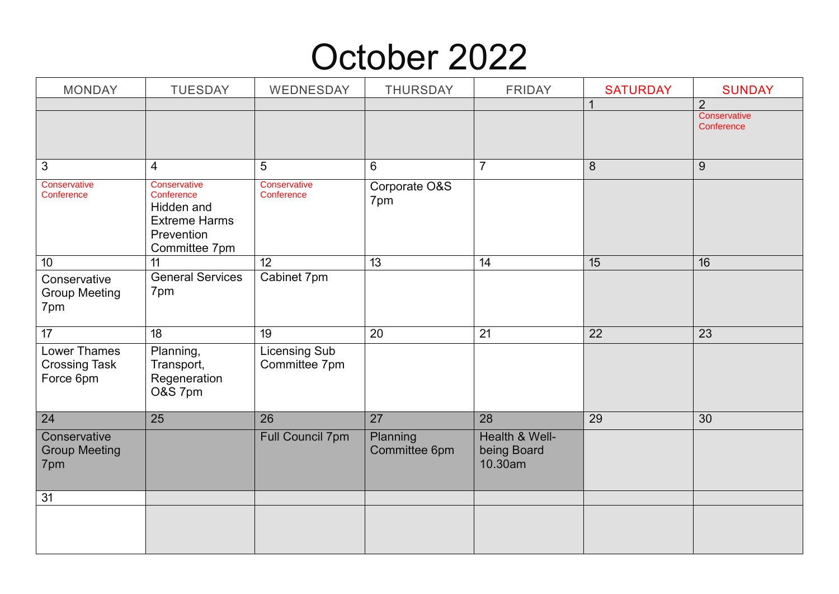#### October 2022

| <b>MONDAY</b>                                            | <b>TUESDAY</b>                                                   | WEDNESDAY                             | <b>THURSDAY</b>           | <b>FRIDAY</b>                            | <b>SATURDAY</b> | <b>SUNDAY</b>                  |
|----------------------------------------------------------|------------------------------------------------------------------|---------------------------------------|---------------------------|------------------------------------------|-----------------|--------------------------------|
|                                                          |                                                                  |                                       |                           |                                          | 1               | $\overline{2}$<br>Conservative |
|                                                          |                                                                  |                                       |                           |                                          |                 | Conference                     |
|                                                          |                                                                  |                                       |                           |                                          |                 |                                |
| $\mathbf{3}$                                             | 4                                                                | 5                                     | 6                         | $\overline{7}$                           | $\,8\,$         | 9                              |
| Conservative<br>Conference                               | Conservative<br>Conference<br>Hidden and<br><b>Extreme Harms</b> | Conservative<br>Conference            | Corporate O&S<br>7pm      |                                          |                 |                                |
|                                                          | Prevention<br>Committee 7pm                                      |                                       |                           |                                          |                 |                                |
| 10                                                       | 11                                                               | 12                                    | 13                        | 14                                       | 15              | 16                             |
| Conservative<br><b>Group Meeting</b><br>7pm              | <b>General Services</b><br>7pm                                   | Cabinet 7pm                           |                           |                                          |                 |                                |
| $\overline{17}$                                          | 18                                                               | 19                                    | 20                        | 21                                       | 22              | 23                             |
| <b>Lower Thames</b><br><b>Crossing Task</b><br>Force 6pm | Planning,<br>Transport,<br>Regeneration<br>O&S 7pm               | <b>Licensing Sub</b><br>Committee 7pm |                           |                                          |                 |                                |
| 24                                                       | 25                                                               | 26                                    | 27                        | 28                                       | 29              | 30                             |
| Conservative<br><b>Group Meeting</b><br>7pm              |                                                                  | <b>Full Council 7pm</b>               | Planning<br>Committee 6pm | Health & Well-<br>being Board<br>10.30am |                 |                                |
| 31                                                       |                                                                  |                                       |                           |                                          |                 |                                |
|                                                          |                                                                  |                                       |                           |                                          |                 |                                |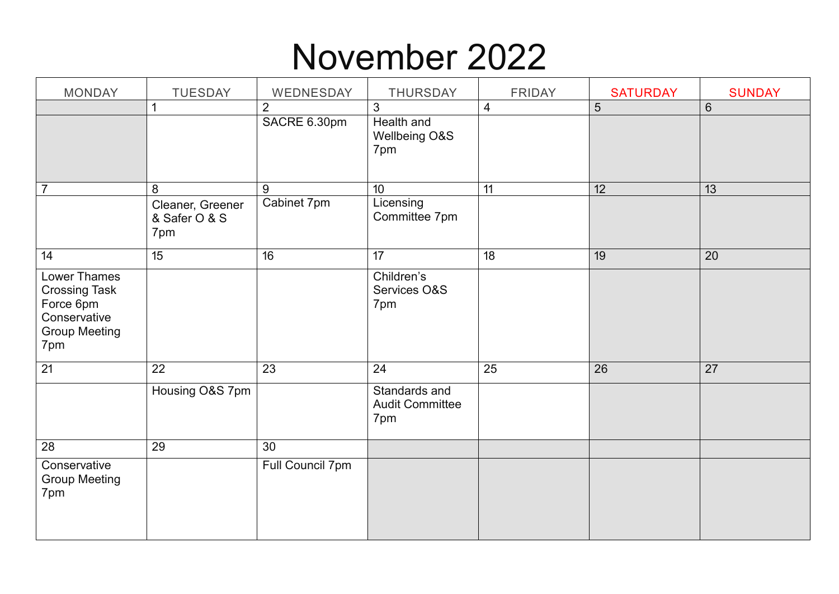### November 2022

| <b>MONDAY</b>                                                                                           | TUESDAY                                  | WEDNESDAY        | THURSDAY                                       | <b>FRIDAY</b>  | <b>SATURDAY</b> | <b>SUNDAY</b>  |
|---------------------------------------------------------------------------------------------------------|------------------------------------------|------------------|------------------------------------------------|----------------|-----------------|----------------|
|                                                                                                         | $\mathbf 1$                              | $\overline{2}$   | 3                                              | $\overline{4}$ | $\overline{5}$  | $6\phantom{1}$ |
|                                                                                                         |                                          | SACRE 6.30pm     | Health and<br>Wellbeing O&S<br>7pm             |                |                 |                |
| $\overline{7}$                                                                                          | 8                                        | 9                | 10                                             | 11             | 12              | 13             |
|                                                                                                         | Cleaner, Greener<br>& Safer O & S<br>7pm | Cabinet 7pm      | Licensing<br>Committee 7pm                     |                |                 |                |
| 14                                                                                                      | 15                                       | 16               | 17                                             | 18             | 19              | 20             |
| <b>Lower Thames</b><br><b>Crossing Task</b><br>Force 6pm<br>Conservative<br><b>Group Meeting</b><br>7pm |                                          |                  | Children's<br>Services O&S<br>7pm              |                |                 |                |
| 21                                                                                                      | 22                                       | 23               | 24                                             | 25             | 26              | 27             |
|                                                                                                         | Housing O&S 7pm                          |                  | Standards and<br><b>Audit Committee</b><br>7pm |                |                 |                |
| 28                                                                                                      | 29                                       | 30               |                                                |                |                 |                |
| Conservative<br><b>Group Meeting</b><br>7pm                                                             |                                          | Full Council 7pm |                                                |                |                 |                |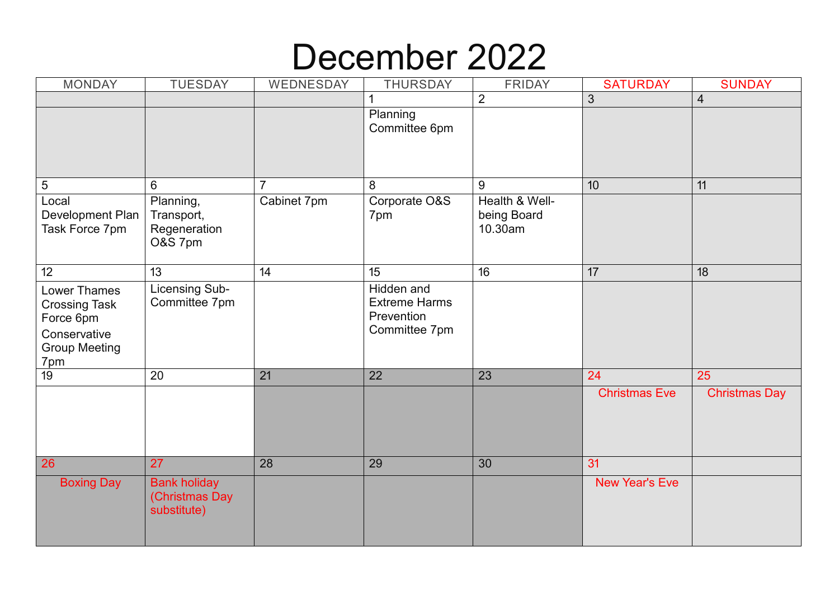#### December 2022

| <b>MONDAY</b>                                                                                           | <b>TUESDAY</b>                                       | WEDNESDAY       | <b>THURSDAY</b>                                                          | <b>FRIDAY</b>                            | <b>SATURDAY</b>       | <b>SUNDAY</b>        |
|---------------------------------------------------------------------------------------------------------|------------------------------------------------------|-----------------|--------------------------------------------------------------------------|------------------------------------------|-----------------------|----------------------|
|                                                                                                         |                                                      |                 |                                                                          | $\overline{2}$                           | 3                     | $\overline{4}$       |
|                                                                                                         |                                                      |                 | Planning<br>Committee 6pm                                                |                                          |                       |                      |
| $\sqrt{5}$                                                                                              | 6                                                    |                 | 8                                                                        | 9                                        | 10                    | 11                   |
| Local<br>Development Plan<br>Task Force 7pm                                                             | Planning,<br>Transport,<br>Regeneration<br>O&S 7pm   | Cabinet 7pm     | Corporate O&S<br>7pm                                                     | Health & Well-<br>being Board<br>10.30am |                       |                      |
| 12 <sup>°</sup>                                                                                         | 13                                                   | 14              | 15                                                                       | 16                                       | 17                    | 18                   |
| <b>Lower Thames</b><br><b>Crossing Task</b><br>Force 6pm<br>Conservative<br><b>Group Meeting</b><br>7pm | <b>Licensing Sub-</b><br>Committee 7pm               |                 | <b>Hidden</b> and<br><b>Extreme Harms</b><br>Prevention<br>Committee 7pm |                                          |                       |                      |
| $\overline{19}$                                                                                         | 20                                                   | $\overline{21}$ | $\overline{22}$                                                          | 23                                       | 24                    | 25                   |
|                                                                                                         |                                                      |                 |                                                                          |                                          | <b>Christmas Eve</b>  | <b>Christmas Day</b> |
| 26                                                                                                      | 27                                                   | 28              | 29                                                                       | 30                                       | 31                    |                      |
| <b>Boxing Day</b>                                                                                       | <b>Bank holiday</b><br>(Christmas Day<br>substitute) |                 |                                                                          |                                          | <b>New Year's Eve</b> |                      |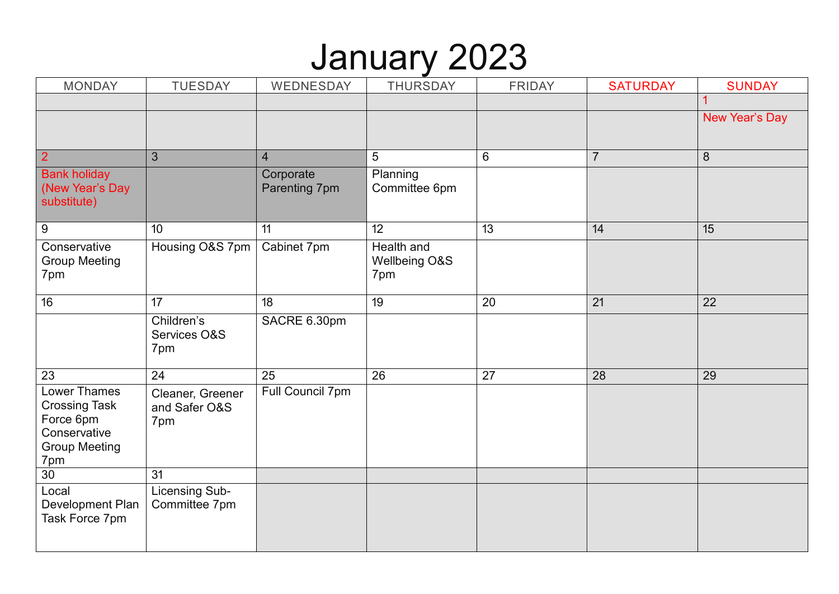### January 2023

| <b>MONDAY</b>                                                                                    | <b>TUESDAY</b>                           | WEDNESDAY                  | <b>THURSDAY</b>                    | <b>FRIDAY</b>   | <b>SATURDAY</b> | <b>SUNDAY</b>  |
|--------------------------------------------------------------------------------------------------|------------------------------------------|----------------------------|------------------------------------|-----------------|-----------------|----------------|
|                                                                                                  |                                          |                            |                                    |                 |                 |                |
|                                                                                                  |                                          |                            |                                    |                 |                 | New Year's Day |
|                                                                                                  |                                          |                            |                                    |                 |                 |                |
| $\overline{2}$                                                                                   | 3                                        | $\overline{4}$             | 5                                  | 6               | $\overline{7}$  | 8              |
| <b>Bank holiday</b><br>(New Year's Day<br>substitute)                                            |                                          | Corporate<br>Parenting 7pm | Planning<br>Committee 6pm          |                 |                 |                |
| $\overline{9}$                                                                                   | 10                                       | 11                         | $\overline{12}$                    | $\overline{13}$ | 14              | 15             |
| Conservative<br><b>Group Meeting</b><br>7pm                                                      | Housing O&S 7pm                          | Cabinet 7pm                | Health and<br>Wellbeing O&S<br>7pm |                 |                 |                |
| 16                                                                                               | 17                                       | 18                         | 19                                 | 20              | 21              | 22             |
|                                                                                                  | Children's<br>Services O&S<br>7pm        | SACRE 6.30pm               |                                    |                 |                 |                |
| 23                                                                                               | 24                                       | 25                         | 26                                 | 27              | 28              | 29             |
| Lower Thames<br><b>Crossing Task</b><br>Force 6pm<br>Conservative<br><b>Group Meeting</b><br>7pm | Cleaner, Greener<br>and Safer O&S<br>7pm | Full Council 7pm           |                                    |                 |                 |                |
| 30                                                                                               | 31                                       |                            |                                    |                 |                 |                |
| Local<br>Development Plan<br>Task Force 7pm                                                      | Licensing Sub-<br>Committee 7pm          |                            |                                    |                 |                 |                |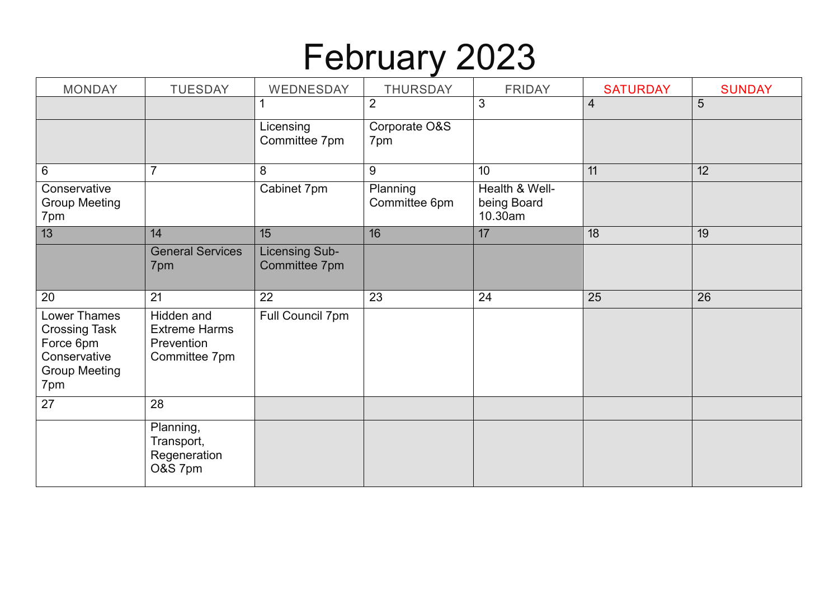# February 2023

| <b>MONDAY</b>                                                                                    | <b>TUESDAY</b>                                                    | WEDNESDAY                              | <b>THURSDAY</b>           | <b>FRIDAY</b>                            | <b>SATURDAY</b> | <b>SUNDAY</b> |
|--------------------------------------------------------------------------------------------------|-------------------------------------------------------------------|----------------------------------------|---------------------------|------------------------------------------|-----------------|---------------|
|                                                                                                  |                                                                   |                                        | $\overline{2}$            | 3                                        | $\overline{4}$  | 5             |
|                                                                                                  |                                                                   | Licensing<br>Committee 7pm             | Corporate O&S<br>7pm      |                                          |                 |               |
| 6                                                                                                |                                                                   | 8                                      | $9\,$                     | 10                                       | 11              | 12            |
| Conservative<br><b>Group Meeting</b><br>7pm                                                      |                                                                   | Cabinet 7pm                            | Planning<br>Committee 6pm | Health & Well-<br>being Board<br>10.30am |                 |               |
| 13                                                                                               | 14                                                                | 15                                     | 16                        | 17                                       | 18              | 19            |
|                                                                                                  | <b>General Services</b><br>7pm                                    | <b>Licensing Sub-</b><br>Committee 7pm |                           |                                          |                 |               |
| 20                                                                                               | 21                                                                | 22                                     | 23                        | 24                                       | 25              | 26            |
| Lower Thames<br><b>Crossing Task</b><br>Force 6pm<br>Conservative<br><b>Group Meeting</b><br>7pm | Hidden and<br><b>Extreme Harms</b><br>Prevention<br>Committee 7pm | Full Council 7pm                       |                           |                                          |                 |               |
| 27                                                                                               | 28                                                                |                                        |                           |                                          |                 |               |
|                                                                                                  | Planning,<br>Transport,<br>Regeneration<br>O&S 7pm                |                                        |                           |                                          |                 |               |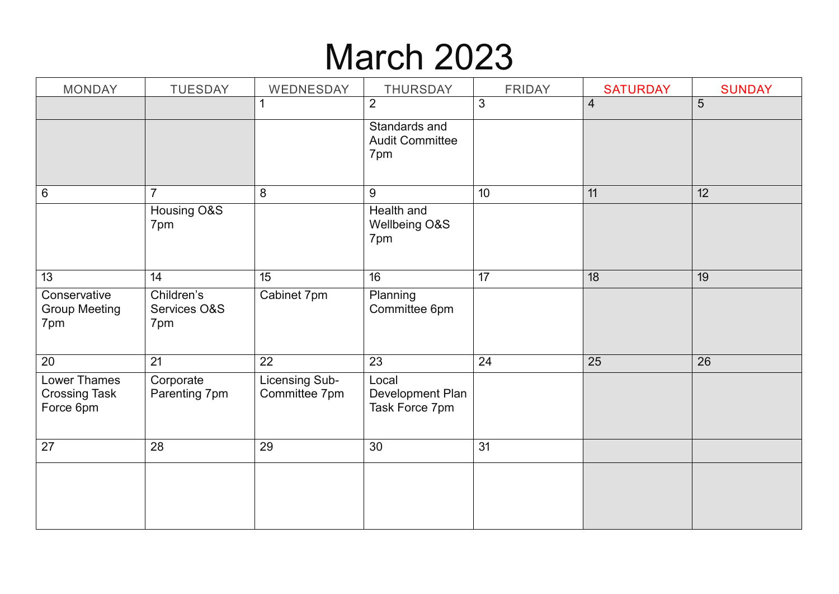# March 2023

| <b>MONDAY</b>                                     | <b>TUESDAY</b>                    | WEDNESDAY                       | <b>THURSDAY</b>                                | <b>FRIDAY</b> | <b>SATURDAY</b> | <b>SUNDAY</b> |
|---------------------------------------------------|-----------------------------------|---------------------------------|------------------------------------------------|---------------|-----------------|---------------|
|                                                   |                                   | 1                               | $\overline{2}$                                 | 3             | $\overline{4}$  | 5             |
|                                                   |                                   |                                 | Standards and<br><b>Audit Committee</b><br>7pm |               |                 |               |
| $\,6\,$                                           | $\overline{7}$                    | $\,8\,$                         | 9                                              | 10            | 11              | 12            |
|                                                   | Housing O&S<br>7pm                |                                 | Health and<br>Wellbeing O&S<br>7pm             |               |                 |               |
| 13                                                | 14                                | 15                              | 16                                             | 17            | 18              | 19            |
| Conservative<br><b>Group Meeting</b><br>7pm       | Children's<br>Services O&S<br>7pm | Cabinet 7pm                     | Planning<br>Committee 6pm                      |               |                 |               |
| 20                                                | 21                                | 22                              | 23                                             | 24            | 25              | 26            |
| Lower Thames<br><b>Crossing Task</b><br>Force 6pm | Corporate<br>Parenting 7pm        | Licensing Sub-<br>Committee 7pm | Local<br>Development Plan<br>Task Force 7pm    |               |                 |               |
| 27                                                | 28                                | 29                              | 30                                             | 31            |                 |               |
|                                                   |                                   |                                 |                                                |               |                 |               |